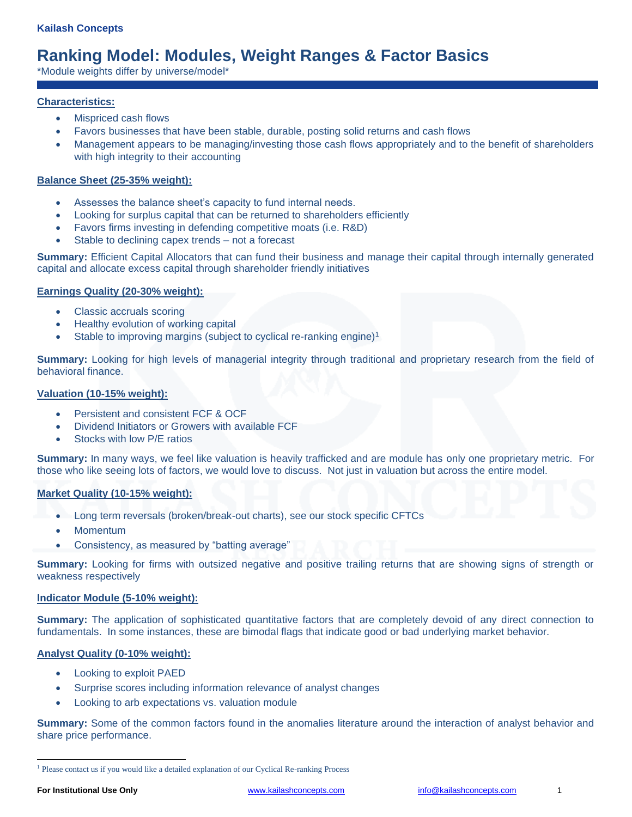# **Ranking Model: Modules, Weight Ranges & Factor Basics**

\*Module weights differ by universe/model\*

# **Characteristics:**

- Mispriced cash flows
- Favors businesses that have been stable, durable, posting solid returns and cash flows
- Management appears to be managing/investing those cash flows appropriately and to the benefit of shareholders with high integrity to their accounting

### **Balance Sheet (25-35% weight):**

- Assesses the balance sheet's capacity to fund internal needs.
- Looking for surplus capital that can be returned to shareholders efficiently
- Favors firms investing in defending competitive moats (i.e. R&D)
- Stable to declining capex trends not a forecast

**Summary:** Efficient Capital Allocators that can fund their business and manage their capital through internally generated capital and allocate excess capital through shareholder friendly initiatives

### **Earnings Quality (20-30% weight):**

- Classic accruals scoring
- Healthy evolution of working capital
- Stable to improving margins (subject to cyclical re-ranking engine)<sup>1</sup>

**Summary:** Looking for high levels of managerial integrity through traditional and proprietary research from the field of behavioral finance.

### **Valuation (10-15% weight):**

- Persistent and consistent FCF & OCF
- Dividend Initiators or Growers with available FCF
- Stocks with low P/E ratios

**Summary:** In many ways, we feel like valuation is heavily trafficked and are module has only one proprietary metric. For those who like seeing lots of factors, we would love to discuss. Not just in valuation but across the entire model.

#### **Market Quality (10-15% weight):**

- Long term reversals (broken/break-out charts), see our stock specific CFTCs
- Momentum
- Consistency, as measured by "batting average"

**Summary:** Looking for firms with outsized negative and positive trailing returns that are showing signs of strength or weakness respectively

#### **Indicator Module (5-10% weight):**

**Summary:** The application of sophisticated quantitative factors that are completely devoid of any direct connection to fundamentals. In some instances, these are bimodal flags that indicate good or bad underlying market behavior.

# **Analyst Quality (0-10% weight):**

- Looking to exploit PAED
- Surprise scores including information relevance of analyst changes
- Looking to arb expectations vs. valuation module

**Summary:** Some of the common factors found in the anomalies literature around the interaction of analyst behavior and share price performance.

<sup>&</sup>lt;sup>1</sup> Please contact us if you would like a detailed explanation of our Cyclical Re-ranking Process